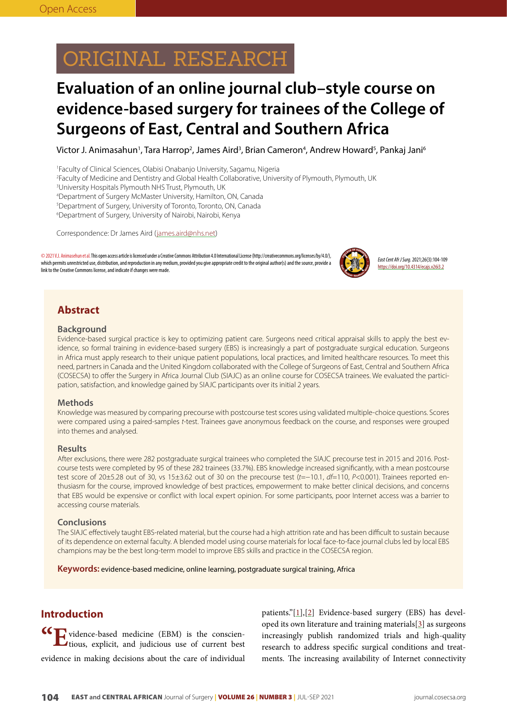# ORIGINAL RESEARCH

# **Evaluation of an online journal club–style course on evidence-based surgery for trainees of the College of Surgeons of East, Central and Southern Africa**

Victor J. Animasahun<sup>1</sup>, Tara Harrop<sup>2</sup>, James Aird<sup>3</sup>, Brian Cameron<sup>4</sup>, Andrew Howard<sup>5</sup>, Pankaj Jani<sup>6</sup>

1 Faculty of Clinical Sciences, Olabisi Onabanjo University, Sagamu, Nigeria

2 Faculty of Medicine and Dentistry and Global Health Collaborative, University of Plymouth, Plymouth, UK

3 University Hospitals Plymouth NHS Trust, Plymouth, UK

4 Department of Surgery McMaster University, Hamilton, ON, Canada

5 Department of Surgery, University of Toronto, Toronto, ON, Canada

6 Department of Surgery, University of Nairobi, Nairobi, Kenya

Correspondence: Dr James Aird (james.aird@nhs.net)

© 2021 V.J. Animasehun et al. This open access article is licensed under a Creative Commons Attribution 4.0 International License (http://creativecommons.org/licenses/by/4.0/), which permits unrestricted use, distribution, and reproduction in any medium, provided you give appropriate credit to the original author(s) and the source, provide a link to the Creative Commons license, and indicate if changes were made.



*East Cent Afr J Surg*. 2021;26(3):104-109 https://doi.org/10.4314/ecajs.v26i3.2

## **Abstract**

#### **Background**

Evidence-based surgical practice is key to optimizing patient care. Surgeons need critical appraisal skills to apply the best evidence, so formal training in evidence-based surgery (EBS) is increasingly a part of postgraduate surgical education. Surgeons in Africa must apply research to their unique patient populations, local practices, and limited healthcare resources. To meet this need, partners in Canada and the United Kingdom collaborated with the College of Surgeons of East, Central and Southern Africa (COSECSA) to offer the Surgery in Africa Journal Club (SIAJC) as an online course for COSECSA trainees. We evaluated the participation, satisfaction, and knowledge gained by SIAJC participants over its initial 2 years.

#### **Methods**

Knowledge was measured by comparing precourse with postcourse test scores using validated multiple-choice questions. Scores were compared using a paired-samples *t*-test. Trainees gave anonymous feedback on the course, and responses were grouped into themes and analysed.

#### **Results**

After exclusions, there were 282 postgraduate surgical trainees who completed the SIAJC precourse test in 2015 and 2016. Postcourse tests were completed by 95 of these 282 trainees (33.7%). EBS knowledge increased significantly, with a mean postcourse test score of 20±5.28 out of 30, vs 15±3.62 out of 30 on the precourse test (t=−10.1, df=110, P<0.001). Trainees reported enthusiasm for the course, improved knowledge of best practices, empowerment to make better clinical decisions, and concerns that EBS would be expensive or conflict with local expert opinion. For some participants, poor Internet access was a barrier to accessing course materials.

#### **Conclusions**

The SIAJC effectively taught EBS-related material, but the course had a high attrition rate and has been difficult to sustain because of its dependence on external faculty. A blended model using course materials for local face-to-face journal clubs led by local EBS champions may be the best long-term model to improve EBS skills and practice in the COSECSA region.

**Keywords:** evidence-based medicine, online learning, postgraduate surgical training, Africa

### **Introduction**

**"E**vidence-based medicine (EBM) is the conscien-tious, explicit, and judicious use of current best evidence in making decisions about the care of individual patients."[\[1](#page-4-0)],[\[2](#page-4-1)] Evidence-based surgery (EBS) has developed its own literature and training materials[[3\]](#page-4-2) as surgeons increasingly publish randomized trials and high-quality research to address specific surgical conditions and treatments. The increasing availability of Internet connectivity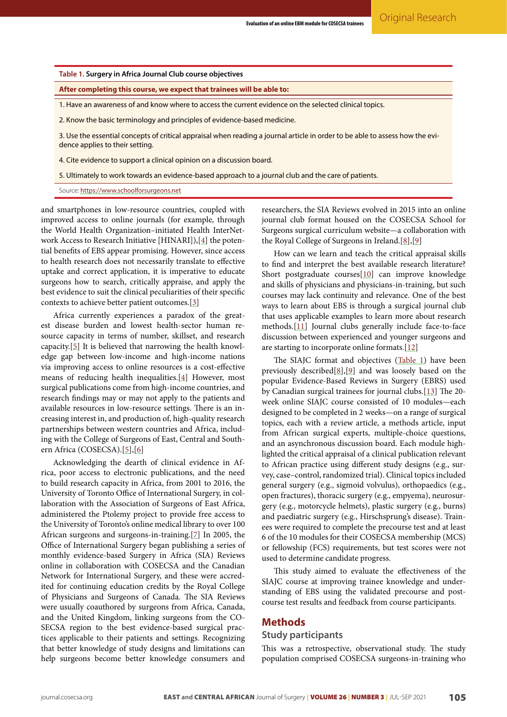<span id="page-1-0"></span>**Table 1. Surgery in Africa Journal Club course objectives**

**After completing this course, we expect that trainees will be able to:**

1. Have an awareness of and know where to access the current evidence on the selected clinical topics.

2. Know the basic terminology and principles of evidence-based medicine.

3. Use the essential concepts of critical appraisal when reading a journal article in order to be able to assess how the evidence applies to their setting.

4. Cite evidence to support a clinical opinion on a discussion board.

5. Ultimately to work towards an evidence-based approach to a journal club and the care of patients.

Source: https://www.schoolforsurgeons.net

and smartphones in low-resource countries, coupled with improved access to online journals (for example, through the World Health Organization–initiated Health InterNetwork Access to Research Initiative [HINARI]),[\[4\]](#page-4-3) the potential benefits of EBS appear promising. However, since access to health research does not necessarily translate to effective uptake and correct application, it is imperative to educate surgeons how to search, critically appraise, and apply the best evidence to suit the clinical peculiarities of their specific contexts to achieve better patient outcomes.[[3\]](#page-4-2)

Africa currently experiences a paradox of the greatest disease burden and lowest health-sector human resource capacity in terms of number, skillset, and research capacity.[[5\]](#page-5-0) It is believed that narrowing the health knowledge gap between low-income and high-income nations via improving access to online resources is a cost-effective means of reducing health inequalities.[[4](#page-4-3)] However, most surgical publications come from high-income countries, and research findings may or may not apply to the patients and available resources in low-resource settings. There is an increasing interest in, and production of, high-quality research partnerships between western countries and Africa, including with the College of Surgeons of East, Central and Southern Africa (COSECSA).[[5](#page-5-0)],[[6](#page-5-1)]

Acknowledging the dearth of clinical evidence in Africa, poor access to electronic publications, and the need to build research capacity in Africa, from 2001 to 2016, the University of Toronto Office of International Surgery, in collaboration with the Association of Surgeons of East Africa, administered the Ptolemy project to provide free access to the University of Toronto's online medical library to over 100 African surgeons and surgeons-in-training.[\[7\]](#page-5-2) In 2005, the Office of International Surgery began publishing a series of monthly evidence-based Surgery in Africa (SIA) Reviews online in collaboration with COSECSA and the Canadian Network for International Surgery, and these were accredited for continuing education credits by the Royal College of Physicians and Surgeons of Canada. The SIA Reviews were usually coauthored by surgeons from Africa, Canada, and the United Kingdom, linking surgeons from the CO-SECSA region to the best evidence-based surgical practices applicable to their patients and settings. Recognizing that better knowledge of study designs and limitations can help surgeons become better knowledge consumers and

researchers, the SIA Reviews evolved in 2015 into an online journal club format housed on the COSECSA School for Surgeons surgical curriculum website—a collaboration with the Royal College of Surgeons in Ireland.[\[8](#page-5-3)],[\[9](#page-5-4)]

How can we learn and teach the critical appraisal skills to find and interpret the best available research literature? Short postgraduate courses[\[10\]](#page-5-5) can improve knowledge and skills of physicians and physicians-in-training, but such courses may lack continuity and relevance. One of the best ways to learn about EBS is through a surgical journal club that uses applicable examples to learn more about research methods.[\[11\]](#page-5-6) Journal clubs generally include face-to-face discussion between experienced and younger surgeons and are starting to incorporate online formats.[\[12\]](#page-5-7)

The SIAJC format and objectives [\(Table 1\)](#page-1-0) have been previously described $[8]$  $[8]$ ,  $[9]$  $[9]$  and was loosely based on the popular Evidence-Based Reviews in Surgery (EBRS) used by Canadian surgical trainees for journal clubs.[[13](#page-5-8)] The 20 week online SIAJC course consisted of 10 modules—each designed to be completed in 2 weeks—on a range of surgical topics, each with a review article, a methods article, input from African surgical experts, multiple-choice questions, and an asynchronous discussion board. Each module highlighted the critical appraisal of a clinical publication relevant to African practice using different study designs (e.g., survey, case–control, randomized trial). Clinical topics included general surgery (e.g., sigmoid volvulus), orthopaedics (e.g., open fractures), thoracic surgery (e.g., empyema), neurosurgery (e.g., motorcycle helmets), plastic surgery (e.g., burns) and paediatric surgery (e.g., Hirschsprung's disease). Trainees were required to complete the precourse test and at least 6 of the 10 modules for their COSECSA membership (MCS) or fellowship (FCS) requirements, but test scores were not used to determine candidate progress.

This study aimed to evaluate the effectiveness of the SIAJC course at improving trainee knowledge and understanding of EBS using the validated precourse and postcourse test results and feedback from course participants.

#### **Methods**

#### **Study participants**

This was a retrospective, observational study. The study population comprised COSECSA surgeons-in-training who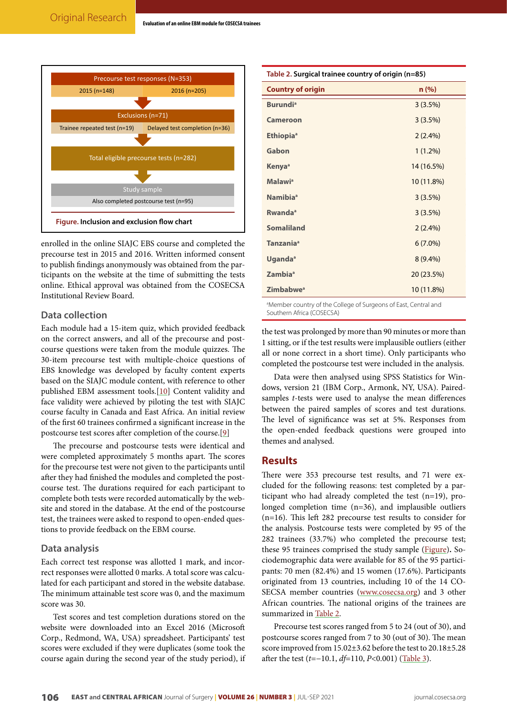<span id="page-2-0"></span>

enrolled in the online SIAJC EBS course and completed the precourse test in 2015 and 2016. Written informed consent to publish findings anonymously was obtained from the participants on the website at the time of submitting the tests online. Ethical approval was obtained from the COSECSA Institutional Review Board.

#### **Data collection**

Each module had a 15-item quiz, which provided feedback on the correct answers, and all of the precourse and postcourse questions were taken from the module quizzes. The 30-item precourse test with multiple-choice questions of EBS knowledge was developed by faculty content experts based on the SIAJC module content, with reference to other published EBM assessment tools.[\[10\]](#page-5-5) Content validity and face validity were achieved by piloting the test with SIAJC course faculty in Canada and East Africa. An initial review of the first 60 trainees confirmed a significant increase in the postcourse test scores after completion of the course.[[9](#page-5-4)]

The precourse and postcourse tests were identical and were completed approximately 5 months apart. The scores for the precourse test were not given to the participants until after they had finished the modules and completed the postcourse test. The durations required for each participant to complete both tests were recorded automatically by the website and stored in the database. At the end of the postcourse test, the trainees were asked to respond to open-ended questions to provide feedback on the EBM course.

#### **Data analysis**

Each correct test response was allotted 1 mark, and incorrect responses were allotted 0 marks. A total score was calculated for each participant and stored in the website database. The minimum attainable test score was 0, and the maximum score was 30.

Test scores and test completion durations stored on the website were downloaded into an Excel 2016 (Microsoft Corp., Redmond, WA, USA) spreadsheet. Participants' test scores were excluded if they were duplicates (some took the course again during the second year of the study period), if

<span id="page-2-1"></span>

| Table 2. Surgical trainee country of origin (n=85)      |                                                                                                         |  |
|---------------------------------------------------------|---------------------------------------------------------------------------------------------------------|--|
| <b>Country of origin</b>                                | n(%)                                                                                                    |  |
| <b>Burundi</b> <sup>a</sup>                             | $3(3.5\%)$                                                                                              |  |
| <b>Cameroon</b>                                         | $3(3.5\%)$                                                                                              |  |
| Ethiopia <sup>a</sup>                                   | $2(2.4\%)$                                                                                              |  |
| Gabon                                                   | $1(1.2\%)$                                                                                              |  |
| Kenya <sup>a</sup>                                      | 14 (16.5%)                                                                                              |  |
| <b>Malawi</b> <sup>a</sup>                              | 10 (11.8%)                                                                                              |  |
| Namibia <sup>a</sup>                                    | $3(3.5\%)$                                                                                              |  |
| Rwanda <sup>a</sup>                                     | 3(3.5%)                                                                                                 |  |
| <b>Somaliland</b>                                       | $2(2.4\%)$                                                                                              |  |
| <b>Tanzania</b> <sup>a</sup>                            | $6(7.0\%)$                                                                                              |  |
| Uganda <sup>a</sup>                                     | $8(9.4\%)$                                                                                              |  |
| Zambia <sup>a</sup>                                     | 20 (23.5%)                                                                                              |  |
| Zimbabwe <sup>a</sup>                                   | 10 (11.8%)                                                                                              |  |
| $\sim$ $\sim$ $\sim$ $\sim$ $\sim$ $\sim$ $\sim$ $\sim$ | $\mathcal{L} = \mathcal{L} \times \mathcal{L} \times \mathcal{L} \times \mathcal{L} \times \mathcal{L}$ |  |

<sup>a</sup>Member country of the College of Surgeons of East, Central and Southern Africa (COSECSA)

the test was prolonged by more than 90 minutes or more than 1 sitting, or if the test results were implausible outliers (either all or none correct in a short time). Only participants who completed the postcourse test were included in the analysis.

Data were then analysed using SPSS Statistics for Windows, version 21 (IBM Corp., Armonk, NY, USA). Pairedsamples *t*-tests were used to analyse the mean differences between the paired samples of scores and test durations. The level of significance was set at 5%. Responses from the open-ended feedback questions were grouped into themes and analysed.

### **Results**

There were 353 precourse test results, and 71 were excluded for the following reasons: test completed by a participant who had already completed the test (n=19), prolonged completion time (n=36), and implausible outliers (n=16). This left 282 precourse test results to consider for the analysis. Postcourse tests were completed by 95 of the 282 trainees (33.7%) who completed the precourse test; these 95 trainees comprised the study sample ([Figure](#page-2-0))**.** Sociodemographic data were available for 85 of the 95 participants: 70 men (82.4%) and 15 women (17.6%). Participants originated from 13 countries, including 10 of the 14 CO-SECSA member countries ([www.cosecsa.org](http://www.cosecsa.org/)) and 3 other African countries. The national origins of the trainees are summarized in [Table 2](#page-2-1).

Precourse test scores ranged from 5 to 24 (out of 30), and postcourse scores ranged from 7 to 30 (out of 30). The mean score improved from 15.02±3.62 before the test to 20.18±5.28 after the test (*t*=−10.1, *df*=110, *P*<0.001) [\(Table 3\)](#page-3-0).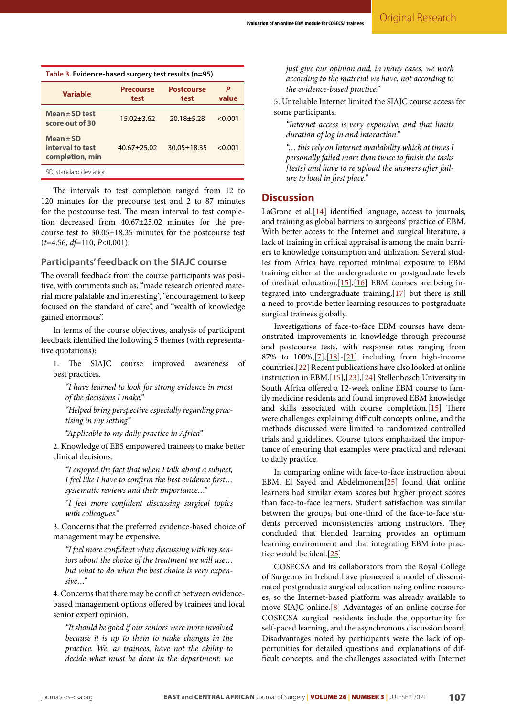<span id="page-3-0"></span>

| Table 3. Evidence-based surgery test results (n=95)  |                          |                           |            |
|------------------------------------------------------|--------------------------|---------------------------|------------|
| <b>Variable</b>                                      | <b>Precourse</b><br>test | <b>Postcourse</b><br>test | P<br>value |
| $Mean \pm SD$ test<br>score out of 30                | $15.02 + 3.62$           | $20.18 + 5.28$            | < 0.001    |
| $Mean \pm SD$<br>interval to test<br>completion, min | $40.67 + 25.02$          | $30.05 + 18.35$           | < 0.001    |
| SD, standard deviation                               |                          |                           |            |

The intervals to test completion ranged from 12 to 120 minutes for the precourse test and 2 to 87 minutes for the postcourse test. The mean interval to test completion decreased from 40.67±25.02 minutes for the precourse test to 30.05±18.35 minutes for the postcourse test (*t*=4.56, *df*=110, *P*<0.001).

#### **Participants' feedback on the SIAJC course**

The overall feedback from the course participants was positive, with comments such as, "made research oriented material more palatable and interesting", "encouragement to keep focused on the standard of care", and "wealth of knowledge gained enormous".

In terms of the course objectives, analysis of participant feedback identified the following 5 themes (with representative quotations):

1. The SIAJC course improved awareness of best practices.

*"I have learned to look for strong evidence in most of the decisions I make."*

*"Helped bring perspective especially regarding practising in my setting"*

*"Applicable to my daily practice in Africa"*

2. Knowledge of EBS empowered trainees to make better clinical decisions.

*"I enjoyed the fact that when I talk about a subject, I feel like I have to confirm the best evidence first… systematic reviews and their importance…"*

*"I feel more confident discussing surgical topics with colleagues."*

3. Concerns that the preferred evidence-based choice of management may be expensive.

*"I feel more confident when discussing with my seniors about the choice of the treatment we will use… but what to do when the best choice is very expensive…"*

4. Concerns that there may be conflict between evidencebased management options offered by trainees and local senior expert opinion.

*"It should be good if our seniors were more involved because it is up to them to make changes in the practice. We, as trainees, have not the ability to decide what must be done in the department: we* 

*just give our opinion and, in many cases, we work according to the material we have, not according to the evidence-based practice."*

5. Unreliable Internet limited the SIAJC course access for some participants.

*"Internet access is very expensive, and that limits duration of log in and interaction."*

*"… this rely on Internet availability which at times I personally failed more than twice to finish the tasks [tests] and have to re upload the answers after failure to load in first place."*

#### **Discussion**

LaGrone et al. $[14]$  $[14]$  $[14]$  identified language, access to journals, and training as global barriers to surgeons' practice of EBM. With better access to the Internet and surgical literature, a lack of training in critical appraisal is among the main barriers to knowledge consumption and utilization. Several studies from Africa have reported minimal exposure to EBM training either at the undergraduate or postgraduate levels of medical education.[[15\]](#page-5-10),[[16](#page-5-11)] EBM courses are being integrated into undergraduate training,[\[17\]](#page-5-12) but there is still a need to provide better learning resources to postgraduate surgical trainees globally.

Investigations of face-to-face EBM courses have demonstrated improvements in knowledge through precourse and postcourse tests, with response rates ranging from 87% to 100%,[[7](#page-5-2)],[[18](#page-5-13)]-[[21](#page-5-14)] including from high-income countries.[[22](#page-5-15)] Recent publications have also looked at online instruction in EBM.[[15](#page-5-10)],[\[23\]](#page-5-16),[\[24\]](#page-5-17) Stellenbosch University in South Africa offered a 12-week online EBM course to family medicine residents and found improved EBM knowledge and skills associated with course completion.[[15](#page-5-10)] There were challenges explaining difficult concepts online, and the methods discussed were limited to randomized controlled trials and guidelines. Course tutors emphasized the importance of ensuring that examples were practical and relevant to daily practice.

In comparing online with face-to-face instruction about EBM, El Sayed and Abdelmonem[\[25](#page-5-18)] found that online learners had similar exam scores but higher project scores than face-to-face learners. Student satisfaction was similar between the groups, but one-third of the face-to-face students perceived inconsistencies among instructors. They concluded that blended learning provides an optimum learning environment and that integrating EBM into practice would be ideal.[[25](#page-5-18)]

COSECSA and its collaborators from the Royal College of Surgeons in Ireland have pioneered a model of disseminated postgraduate surgical education using online resources, so the Internet-based platform was already available to move SIAJC online.[[8](#page-5-3)] Advantages of an online course for COSECSA surgical residents include the opportunity for self-paced learning, and the asynchronous discussion board. Disadvantages noted by participants were the lack of opportunities for detailed questions and explanations of difficult concepts, and the challenges associated with Internet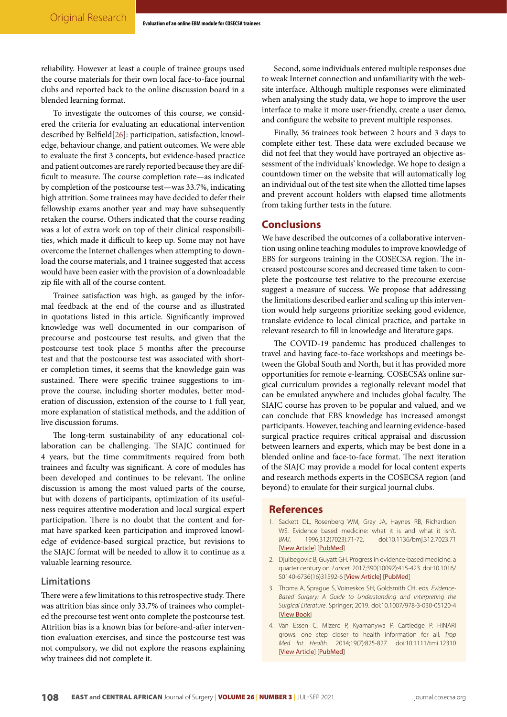reliability. However at least a couple of trainee groups used the course materials for their own local face-to-face journal clubs and reported back to the online discussion board in a blended learning format.

To investigate the outcomes of this course, we considered the criteria for evaluating an educational intervention described by Belfield[\[26\]](#page-5-19): participation, satisfaction, knowledge, behaviour change, and patient outcomes. We were able to evaluate the first 3 concepts, but evidence-based practice and patient outcomes are rarely reported because they are difficult to measure. The course completion rate—as indicated by completion of the postcourse test—was 33.7%, indicating high attrition. Some trainees may have decided to defer their fellowship exams another year and may have subsequently retaken the course. Others indicated that the course reading was a lot of extra work on top of their clinical responsibilities, which made it difficult to keep up. Some may not have overcome the Internet challenges when attempting to download the course materials, and 1 trainee suggested that access would have been easier with the provision of a downloadable zip file with all of the course content.

Trainee satisfaction was high, as gauged by the informal feedback at the end of the course and as illustrated in quotations listed in this article. Significantly improved knowledge was well documented in our comparison of precourse and postcourse test results, and given that the postcourse test took place 5 months after the precourse test and that the postcourse test was associated with shorter completion times, it seems that the knowledge gain was sustained. There were specific trainee suggestions to improve the course, including shorter modules, better moderation of discussion, extension of the course to 1 full year, more explanation of statistical methods, and the addition of live discussion forums.

The long-term sustainability of any educational collaboration can be challenging. The SIAJC continued for 4 years, but the time commitments required from both trainees and faculty was significant. A core of modules has been developed and continues to be relevant. The online discussion is among the most valued parts of the course, but with dozens of participants, optimization of its usefulness requires attentive moderation and local surgical expert participation. There is no doubt that the content and format have sparked keen participation and improved knowledge of evidence-based surgical practice, but revisions to the SIAJC format will be needed to allow it to continue as a valuable learning resource.

#### **Limitations**

There were a few limitations to this retrospective study. There was attrition bias since only 33.7% of trainees who completed the precourse test went onto complete the postcourse test. Attrition bias is a known bias for before-and-after intervention evaluation exercises, and since the postcourse test was not compulsory, we did not explore the reasons explaining why trainees did not complete it.

Second, some individuals entered multiple responses due to weak Internet connection and unfamiliarity with the website interface. Although multiple responses were eliminated when analysing the study data, we hope to improve the user interface to make it more user-friendly, create a user demo, and configure the website to prevent multiple responses.

Finally, 36 trainees took between 2 hours and 3 days to complete either test. These data were excluded because we did not feel that they would have portrayed an objective assessment of the individuals' knowledge. We hope to design a countdown timer on the website that will automatically log an individual out of the test site when the allotted time lapses and prevent account holders with elapsed time allotments from taking further tests in the future.

### **Conclusions**

We have described the outcomes of a collaborative intervention using online teaching modules to improve knowledge of EBS for surgeons training in the COSECSA region. The increased postcourse scores and decreased time taken to complete the postcourse test relative to the precourse exercise suggest a measure of success. We propose that addressing the limitations described earlier and scaling up this intervention would help surgeons prioritize seeking good evidence, translate evidence to local clinical practice, and partake in relevant research to fill in knowledge and literature gaps.

The COVID-19 pandemic has produced challenges to travel and having face-to-face workshops and meetings between the Global South and North, but it has provided more opportunities for remote e-learning. COSECSA's online surgical curriculum provides a regionally relevant model that can be emulated anywhere and includes global faculty. The SIAJC course has proven to be popular and valued, and we can conclude that EBS knowledge has increased amongst participants. However, teaching and learning evidence-based surgical practice requires critical appraisal and discussion between learners and experts, which may be best done in a blended online and face-to-face format. The next iteration of the SIAJC may provide a model for local content experts and research methods experts in the COSECSA region (and beyond) to emulate for their surgical journal clubs.

#### **References**

- <span id="page-4-0"></span>1. Sackett DL, Rosenberg WM, Gray JA, Haynes RB, Richardson WS. Evidence based medicine: what it is and what it isn't. *BMJ*. 1996;312(7023):71-72. doi:10.1136/bmj.312.7023.71 [[View Article](https://doi.org/10.1136/bmj.312.7023.71)] [[PubMed](https://pubmed.ncbi.nlm.nih.gov/8555924/)]
- <span id="page-4-1"></span>2. Djulbegovic B, Guyatt GH. Progress in evidence-based medicine: a quarter century on. *Lancet*. 2017;390(10092):415-423. doi:10.1016/ S0140-6736(16)31592-6 [[View Article](https://doi.org/10.1016/s0140-6736(16)31592-6)] [[PubMed](https://pubmed.ncbi.nlm.nih.gov/28215660/)]
- <span id="page-4-2"></span>3. Thoma A, Sprague S, Voineskos SH, Goldsmith CH, eds. *Evidence-Based Surgery: A Guide to Understanding and Interpreting the Surgical Literature*. Springer; 2019. doi:10.1007/978-3-030-05120-4 [[View Book](https://doi.org/10.1007/978-3-030-05120-4)]
- <span id="page-4-3"></span>4. Van Essen C, Mizero P, Kyamanywa P, Cartledge P. HINARI grows: one step closer to health information for all. *Trop Med Int Health*. 2014;19(7):825-827. doi:10.1111/tmi.12310 [[View Article](https://doi.org/10.1111/tmi.12310)] [[PubMed](https://pubmed.ncbi.nlm.nih.gov/24724582/)]